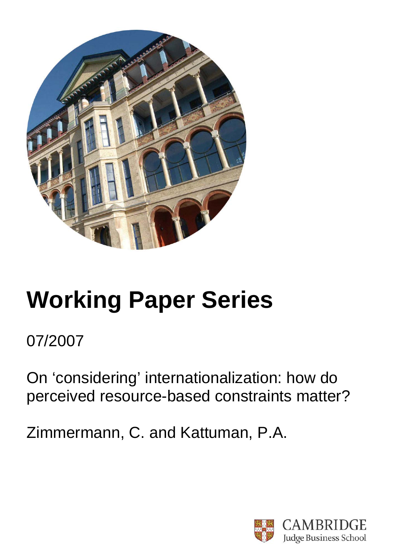

# **Working Paper Series**

07/2007

On 'considering' internationalization: how do perceived resource-based constraints matter?

Zimmermann, C. and Kattuman, P.A.

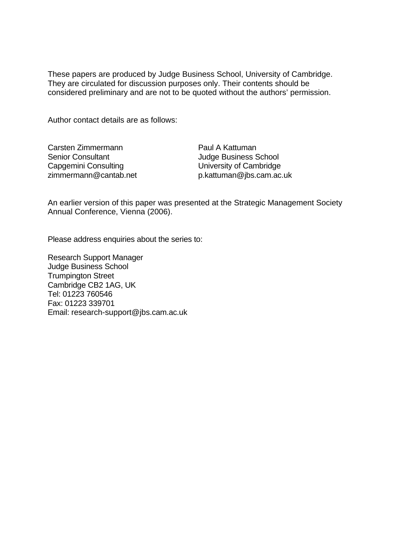These papers are produced by Judge Business School, University of Cambridge. They are circulated for discussion purposes only. Their contents should be considered preliminary and are not to be quoted without the authors' permission.

Author contact details are as follows:

| Carsten Zimmermann       |
|--------------------------|
| <b>Senior Consultant</b> |
| Capgemini Consulting     |
| zimmermann@cantab.net    |

Paul A Kattuman Judge Business School University of Cambridge p.kattuman@jbs.cam.ac.uk

An earlier version of this paper was presented at the Strategic Management Society Annual Conference, Vienna (2006).

Please address enquiries about the series to:

Research Support Manager Judge Business School Trumpington Street Cambridge CB2 1AG, UK Tel: 01223 760546 Fax: 01223 339701 Email: research-support@jbs.cam.ac.uk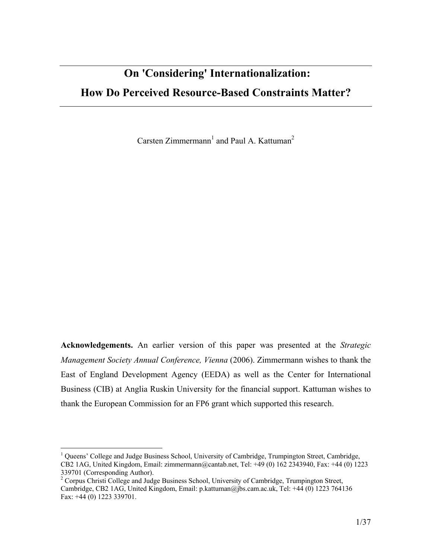# On 'Considering' Internationalization: How Do Perceived Resource-Based Constraints Matter?

Carsten Zimmermann<sup>1</sup> and Paul A. Kattuman<sup>2</sup>

Acknowledgements. An earlier version of this paper was presented at the Strategic Management Society Annual Conference, Vienna (2006). Zimmermann wishes to thank the East of England Development Agency (EEDA) as well as the Center for International Business (CIB) at Anglia Ruskin University for the financial support. Kattuman wishes to thank the European Commission for an FP6 grant which supported this research.

<u>.</u>

<sup>&</sup>lt;sup>1</sup> Queens' College and Judge Business School, University of Cambridge, Trumpington Street, Cambridge, CB2 1AG, United Kingdom, Email: zimmermann@cantab.net, Tel: +49 (0) 162 2343940, Fax: +44 (0) 1223 339701 (Corresponding Author).<br><sup>2</sup> Corpus Christi College and Judge Business School, University of Cambridge, Trumpington Street,

Cambridge, CB2 1AG, United Kingdom, Email: p.kattuman@jbs.cam.ac.uk, Tel: +44 (0) 1223 764136 Fax: +44 (0) 1223 339701.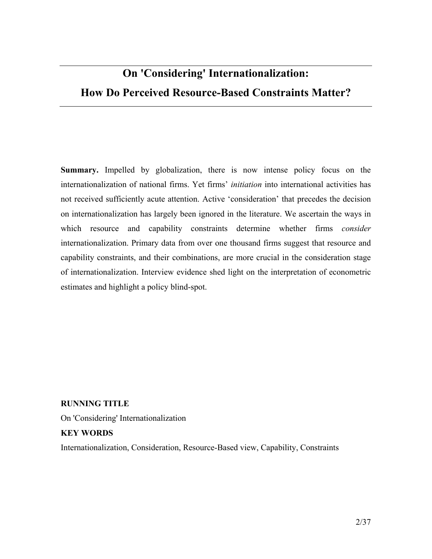# On 'Considering' Internationalization: How Do Perceived Resource-Based Constraints Matter?

Summary. Impelled by globalization, there is now intense policy focus on the internationalization of national firms. Yet firms' initiation into international activities has not received sufficiently acute attention. Active 'consideration' that precedes the decision on internationalization has largely been ignored in the literature. We ascertain the ways in which resource and capability constraints determine whether firms *consider* internationalization. Primary data from over one thousand firms suggest that resource and capability constraints, and their combinations, are more crucial in the consideration stage of internationalization. Interview evidence shed light on the interpretation of econometric estimates and highlight a policy blind-spot.

#### RUNNING TITLE

On 'Considering' Internationalization

#### KEY WORDS

Internationalization, Consideration, Resource-Based view, Capability, Constraints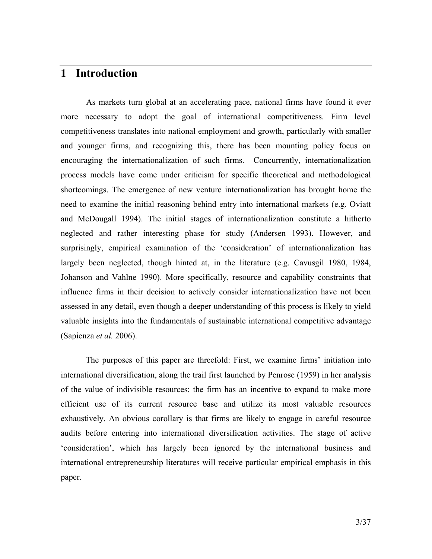#### 1 Introduction

As markets turn global at an accelerating pace, national firms have found it ever more necessary to adopt the goal of international competitiveness. Firm level competitiveness translates into national employment and growth, particularly with smaller and younger firms, and recognizing this, there has been mounting policy focus on encouraging the internationalization of such firms. Concurrently, internationalization process models have come under criticism for specific theoretical and methodological shortcomings. The emergence of new venture internationalization has brought home the need to examine the initial reasoning behind entry into international markets (e.g. Oviatt and McDougall 1994). The initial stages of internationalization constitute a hitherto neglected and rather interesting phase for study (Andersen 1993). However, and surprisingly, empirical examination of the 'consideration' of internationalization has largely been neglected, though hinted at, in the literature (e.g. Cavusgil 1980, 1984, Johanson and Vahlne 1990). More specifically, resource and capability constraints that influence firms in their decision to actively consider internationalization have not been assessed in any detail, even though a deeper understanding of this process is likely to yield valuable insights into the fundamentals of sustainable international competitive advantage (Sapienza et al. 2006).

The purposes of this paper are threefold: First, we examine firms' initiation into international diversification, along the trail first launched by Penrose (1959) in her analysis of the value of indivisible resources: the firm has an incentive to expand to make more efficient use of its current resource base and utilize its most valuable resources exhaustively. An obvious corollary is that firms are likely to engage in careful resource audits before entering into international diversification activities. The stage of active 'consideration', which has largely been ignored by the international business and international entrepreneurship literatures will receive particular empirical emphasis in this paper.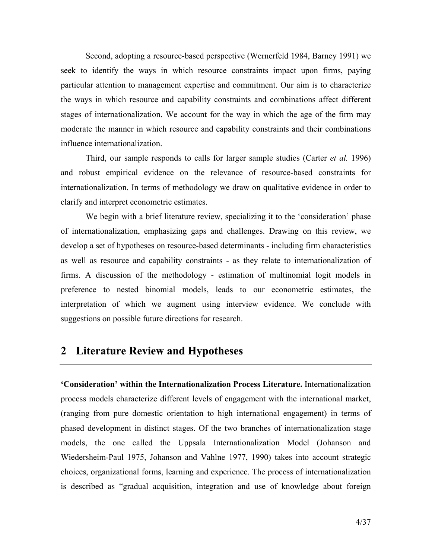Second, adopting a resource-based perspective (Wernerfeld 1984, Barney 1991) we seek to identify the ways in which resource constraints impact upon firms, paying particular attention to management expertise and commitment. Our aim is to characterize the ways in which resource and capability constraints and combinations affect different stages of internationalization. We account for the way in which the age of the firm may moderate the manner in which resource and capability constraints and their combinations influence internationalization.

Third, our sample responds to calls for larger sample studies (Carter *et al.* 1996) and robust empirical evidence on the relevance of resource-based constraints for internationalization. In terms of methodology we draw on qualitative evidence in order to clarify and interpret econometric estimates.

We begin with a brief literature review, specializing it to the 'consideration' phase of internationalization, emphasizing gaps and challenges. Drawing on this review, we develop a set of hypotheses on resource-based determinants - including firm characteristics as well as resource and capability constraints - as they relate to internationalization of firms. A discussion of the methodology - estimation of multinomial logit models in preference to nested binomial models, leads to our econometric estimates, the interpretation of which we augment using interview evidence. We conclude with suggestions on possible future directions for research.

# 2 Literature Review and Hypotheses

'Consideration' within the Internationalization Process Literature. Internationalization process models characterize different levels of engagement with the international market, (ranging from pure domestic orientation to high international engagement) in terms of phased development in distinct stages. Of the two branches of internationalization stage models, the one called the Uppsala Internationalization Model (Johanson and Wiedersheim-Paul 1975, Johanson and Vahlne 1977, 1990) takes into account strategic choices, organizational forms, learning and experience. The process of internationalization is described as "gradual acquisition, integration and use of knowledge about foreign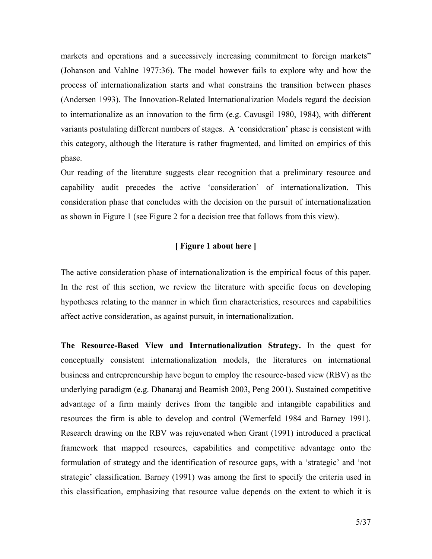markets and operations and a successively increasing commitment to foreign markets" (Johanson and Vahlne 1977:36). The model however fails to explore why and how the process of internationalization starts and what constrains the transition between phases (Andersen 1993). The Innovation-Related Internationalization Models regard the decision to internationalize as an innovation to the firm (e.g. Cavusgil 1980, 1984), with different variants postulating different numbers of stages. A 'consideration' phase is consistent with this category, although the literature is rather fragmented, and limited on empirics of this phase.

Our reading of the literature suggests clear recognition that a preliminary resource and capability audit precedes the active 'consideration' of internationalization. This consideration phase that concludes with the decision on the pursuit of internationalization as shown in Figure 1 (see Figure 2 for a decision tree that follows from this view).

#### [ Figure 1 about here ]

The active consideration phase of internationalization is the empirical focus of this paper. In the rest of this section, we review the literature with specific focus on developing hypotheses relating to the manner in which firm characteristics, resources and capabilities affect active consideration, as against pursuit, in internationalization.

The Resource-Based View and Internationalization Strategy. In the quest for conceptually consistent internationalization models, the literatures on international business and entrepreneurship have begun to employ the resource-based view (RBV) as the underlying paradigm (e.g. Dhanaraj and Beamish 2003, Peng 2001). Sustained competitive advantage of a firm mainly derives from the tangible and intangible capabilities and resources the firm is able to develop and control (Wernerfeld 1984 and Barney 1991). Research drawing on the RBV was rejuvenated when Grant (1991) introduced a practical framework that mapped resources, capabilities and competitive advantage onto the formulation of strategy and the identification of resource gaps, with a 'strategic' and 'not strategic' classification. Barney (1991) was among the first to specify the criteria used in this classification, emphasizing that resource value depends on the extent to which it is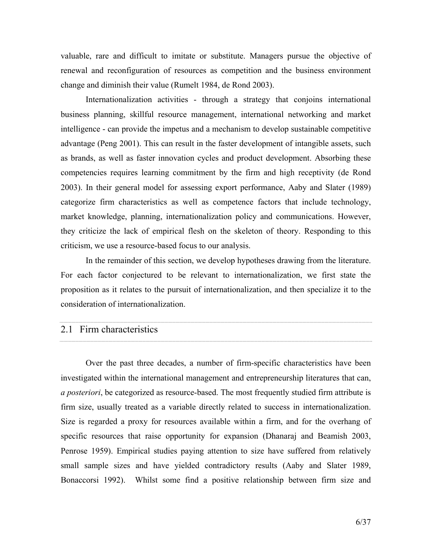valuable, rare and difficult to imitate or substitute. Managers pursue the objective of renewal and reconfiguration of resources as competition and the business environment change and diminish their value (Rumelt 1984, de Rond 2003).

Internationalization activities - through a strategy that conjoins international business planning, skillful resource management, international networking and market intelligence - can provide the impetus and a mechanism to develop sustainable competitive advantage (Peng 2001). This can result in the faster development of intangible assets, such as brands, as well as faster innovation cycles and product development. Absorbing these competencies requires learning commitment by the firm and high receptivity (de Rond 2003). In their general model for assessing export performance, Aaby and Slater (1989) categorize firm characteristics as well as competence factors that include technology, market knowledge, planning, internationalization policy and communications. However, they criticize the lack of empirical flesh on the skeleton of theory. Responding to this criticism, we use a resource-based focus to our analysis.

In the remainder of this section, we develop hypotheses drawing from the literature. For each factor conjectured to be relevant to internationalization, we first state the proposition as it relates to the pursuit of internationalization, and then specialize it to the consideration of internationalization.

# 2.1 Firm characteristics

Over the past three decades, a number of firm-specific characteristics have been investigated within the international management and entrepreneurship literatures that can, a posteriori, be categorized as resource-based. The most frequently studied firm attribute is firm size, usually treated as a variable directly related to success in internationalization. Size is regarded a proxy for resources available within a firm, and for the overhang of specific resources that raise opportunity for expansion (Dhanaraj and Beamish 2003, Penrose 1959). Empirical studies paying attention to size have suffered from relatively small sample sizes and have yielded contradictory results (Aaby and Slater 1989, Bonaccorsi 1992). Whilst some find a positive relationship between firm size and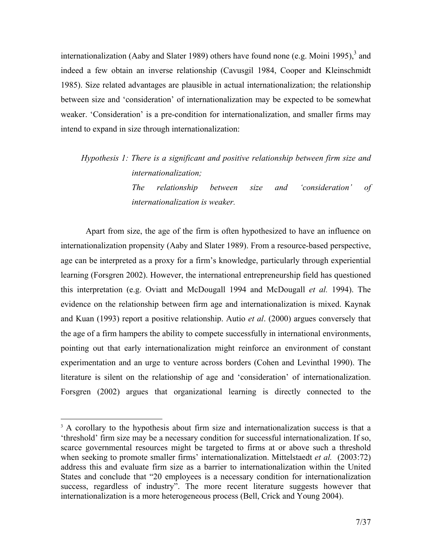internationalization (Aaby and Slater 1989) others have found none (e.g. Moini 1995), $3$  and indeed a few obtain an inverse relationship (Cavusgil 1984, Cooper and Kleinschmidt 1985). Size related advantages are plausible in actual internationalization; the relationship between size and 'consideration' of internationalization may be expected to be somewhat weaker. 'Consideration' is a pre-condition for internationalization, and smaller firms may intend to expand in size through internationalization:

Hypothesis 1: There is a significant and positive relationship between firm size and internationalization; The relationship between size and 'consideration' of internationalization is weaker.

Apart from size, the age of the firm is often hypothesized to have an influence on internationalization propensity (Aaby and Slater 1989). From a resource-based perspective, age can be interpreted as a proxy for a firm's knowledge, particularly through experiential learning (Forsgren 2002). However, the international entrepreneurship field has questioned this interpretation (e.g. Oviatt and McDougall 1994 and McDougall et al. 1994). The evidence on the relationship between firm age and internationalization is mixed. Kaynak and Kuan (1993) report a positive relationship. Autio et al. (2000) argues conversely that the age of a firm hampers the ability to compete successfully in international environments, pointing out that early internationalization might reinforce an environment of constant experimentation and an urge to venture across borders (Cohen and Levinthal 1990). The literature is silent on the relationship of age and 'consideration' of internationalization. Forsgren (2002) argues that organizational learning is directly connected to the

-

<sup>&</sup>lt;sup>3</sup> A corollary to the hypothesis about firm size and internationalization success is that a 'threshold' firm size may be a necessary condition for successful internationalization. If so, scarce governmental resources might be targeted to firms at or above such a threshold when seeking to promote smaller firms' internationalization. Mittelstaedt *et al.* (2003:72) address this and evaluate firm size as a barrier to internationalization within the United States and conclude that "20 employees is a necessary condition for internationalization success, regardless of industry". The more recent literature suggests however that internationalization is a more heterogeneous process (Bell, Crick and Young 2004).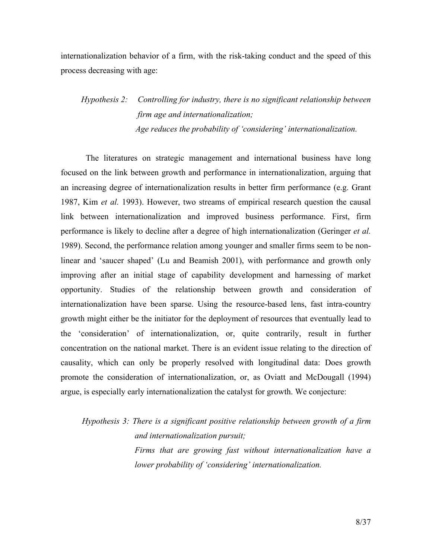internationalization behavior of a firm, with the risk-taking conduct and the speed of this process decreasing with age:

# Hypothesis 2: Controlling for industry, there is no significant relationship between firm age and internationalization; Age reduces the probability of 'considering' internationalization.

The literatures on strategic management and international business have long focused on the link between growth and performance in internationalization, arguing that an increasing degree of internationalization results in better firm performance (e.g. Grant 1987, Kim et al. 1993). However, two streams of empirical research question the causal link between internationalization and improved business performance. First, firm performance is likely to decline after a degree of high internationalization (Geringer et al. 1989). Second, the performance relation among younger and smaller firms seem to be nonlinear and 'saucer shaped' (Lu and Beamish 2001), with performance and growth only improving after an initial stage of capability development and harnessing of market opportunity. Studies of the relationship between growth and consideration of internationalization have been sparse. Using the resource-based lens, fast intra-country growth might either be the initiator for the deployment of resources that eventually lead to the 'consideration' of internationalization, or, quite contrarily, result in further concentration on the national market. There is an evident issue relating to the direction of causality, which can only be properly resolved with longitudinal data: Does growth promote the consideration of internationalization, or, as Oviatt and McDougall (1994) argue, is especially early internationalization the catalyst for growth. We conjecture:

Hypothesis 3: There is a significant positive relationship between growth of a firm and internationalization pursuit; Firms that are growing fast without internationalization have a lower probability of 'considering' internationalization.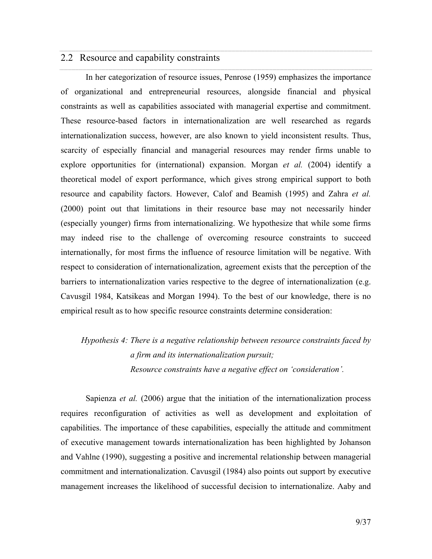#### 2.2 Resource and capability constraints

In her categorization of resource issues, Penrose (1959) emphasizes the importance of organizational and entrepreneurial resources, alongside financial and physical constraints as well as capabilities associated with managerial expertise and commitment. These resource-based factors in internationalization are well researched as regards internationalization success, however, are also known to yield inconsistent results. Thus, scarcity of especially financial and managerial resources may render firms unable to explore opportunities for (international) expansion. Morgan *et al.* (2004) identify a theoretical model of export performance, which gives strong empirical support to both resource and capability factors. However, Calof and Beamish (1995) and Zahra et al. (2000) point out that limitations in their resource base may not necessarily hinder (especially younger) firms from internationalizing. We hypothesize that while some firms may indeed rise to the challenge of overcoming resource constraints to succeed internationally, for most firms the influence of resource limitation will be negative. With respect to consideration of internationalization, agreement exists that the perception of the barriers to internationalization varies respective to the degree of internationalization (e.g. Cavusgil 1984, Katsikeas and Morgan 1994). To the best of our knowledge, there is no empirical result as to how specific resource constraints determine consideration:

# Hypothesis 4: There is a negative relationship between resource constraints faced by a firm and its internationalization pursuit; Resource constraints have a negative effect on 'consideration'.

Sapienza *et al.* (2006) argue that the initiation of the internationalization process requires reconfiguration of activities as well as development and exploitation of capabilities. The importance of these capabilities, especially the attitude and commitment of executive management towards internationalization has been highlighted by Johanson and Vahlne (1990), suggesting a positive and incremental relationship between managerial commitment and internationalization. Cavusgil (1984) also points out support by executive management increases the likelihood of successful decision to internationalize. Aaby and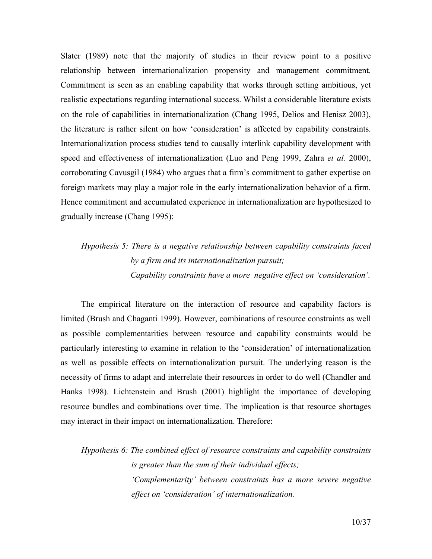Slater (1989) note that the majority of studies in their review point to a positive relationship between internationalization propensity and management commitment. Commitment is seen as an enabling capability that works through setting ambitious, yet realistic expectations regarding international success. Whilst a considerable literature exists on the role of capabilities in internationalization (Chang 1995, Delios and Henisz 2003), the literature is rather silent on how 'consideration' is affected by capability constraints. Internationalization process studies tend to causally interlink capability development with speed and effectiveness of internationalization (Luo and Peng 1999, Zahra *et al.* 2000), corroborating Cavusgil (1984) who argues that a firm's commitment to gather expertise on foreign markets may play a major role in the early internationalization behavior of a firm. Hence commitment and accumulated experience in internationalization are hypothesized to gradually increase (Chang 1995):

# Hypothesis 5: There is a negative relationship between capability constraints faced by a firm and its internationalization pursuit; Capability constraints have a more negative effect on 'consideration'.

The empirical literature on the interaction of resource and capability factors is limited (Brush and Chaganti 1999). However, combinations of resource constraints as well as possible complementarities between resource and capability constraints would be particularly interesting to examine in relation to the 'consideration' of internationalization as well as possible effects on internationalization pursuit. The underlying reason is the necessity of firms to adapt and interrelate their resources in order to do well (Chandler and Hanks 1998). Lichtenstein and Brush (2001) highlight the importance of developing resource bundles and combinations over time. The implication is that resource shortages may interact in their impact on internationalization. Therefore:

Hypothesis 6: The combined effect of resource constraints and capability constraints is greater than the sum of their individual effects; 'Complementarity' between constraints has a more severe negative effect on 'consideration' of internationalization.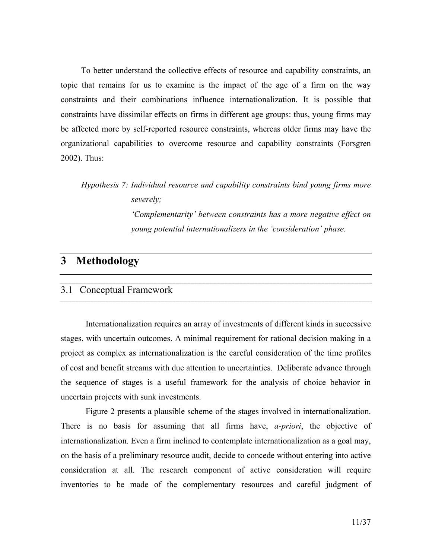To better understand the collective effects of resource and capability constraints, an topic that remains for us to examine is the impact of the age of a firm on the way constraints and their combinations influence internationalization. It is possible that constraints have dissimilar effects on firms in different age groups: thus, young firms may be affected more by self-reported resource constraints, whereas older firms may have the organizational capabilities to overcome resource and capability constraints (Forsgren 2002). Thus:

Hypothesis 7: Individual resource and capability constraints bind young firms more severely;

> 'Complementarity' between constraints has a more negative effect on young potential internationalizers in the 'consideration' phase.

# 3 Methodology

#### 3.1 Conceptual Framework

Internationalization requires an array of investments of different kinds in successive stages, with uncertain outcomes. A minimal requirement for rational decision making in a project as complex as internationalization is the careful consideration of the time profiles of cost and benefit streams with due attention to uncertainties. Deliberate advance through the sequence of stages is a useful framework for the analysis of choice behavior in uncertain projects with sunk investments.

Figure 2 presents a plausible scheme of the stages involved in internationalization. There is no basis for assuming that all firms have, *a-priori*, the objective of internationalization. Even a firm inclined to contemplate internationalization as a goal may, on the basis of a preliminary resource audit, decide to concede without entering into active consideration at all. The research component of active consideration will require inventories to be made of the complementary resources and careful judgment of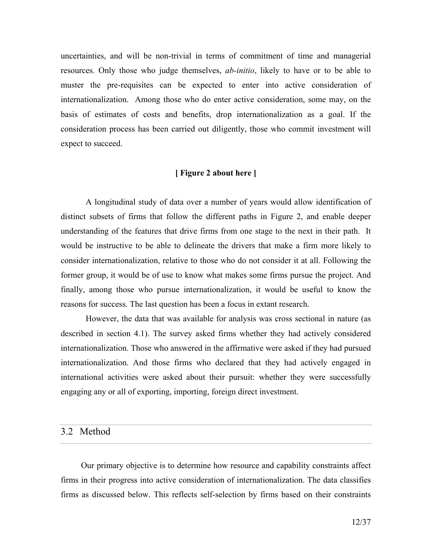uncertainties, and will be non-trivial in terms of commitment of time and managerial resources. Only those who judge themselves, ab-initio, likely to have or to be able to muster the pre-requisites can be expected to enter into active consideration of internationalization. Among those who do enter active consideration, some may, on the basis of estimates of costs and benefits, drop internationalization as a goal. If the consideration process has been carried out diligently, those who commit investment will expect to succeed.

#### [ Figure 2 about here ]

A longitudinal study of data over a number of years would allow identification of distinct subsets of firms that follow the different paths in Figure 2, and enable deeper understanding of the features that drive firms from one stage to the next in their path. It would be instructive to be able to delineate the drivers that make a firm more likely to consider internationalization, relative to those who do not consider it at all. Following the former group, it would be of use to know what makes some firms pursue the project. And finally, among those who pursue internationalization, it would be useful to know the reasons for success. The last question has been a focus in extant research.

However, the data that was available for analysis was cross sectional in nature (as described in section 4.1). The survey asked firms whether they had actively considered internationalization. Those who answered in the affirmative were asked if they had pursued internationalization. And those firms who declared that they had actively engaged in international activities were asked about their pursuit: whether they were successfully engaging any or all of exporting, importing, foreign direct investment.

#### 3.2 Method

Our primary objective is to determine how resource and capability constraints affect firms in their progress into active consideration of internationalization. The data classifies firms as discussed below. This reflects self-selection by firms based on their constraints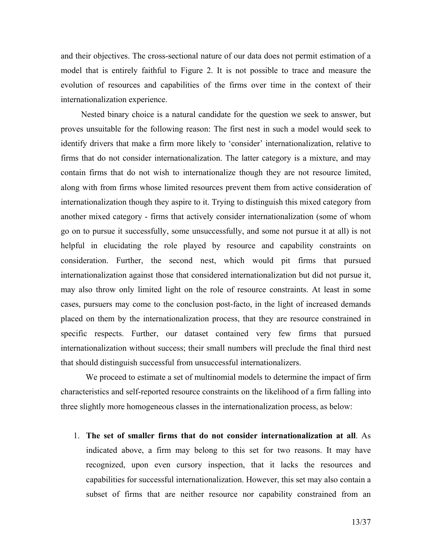and their objectives. The cross-sectional nature of our data does not permit estimation of a model that is entirely faithful to Figure 2. It is not possible to trace and measure the evolution of resources and capabilities of the firms over time in the context of their internationalization experience.

Nested binary choice is a natural candidate for the question we seek to answer, but proves unsuitable for the following reason: The first nest in such a model would seek to identify drivers that make a firm more likely to 'consider' internationalization, relative to firms that do not consider internationalization. The latter category is a mixture, and may contain firms that do not wish to internationalize though they are not resource limited, along with from firms whose limited resources prevent them from active consideration of internationalization though they aspire to it. Trying to distinguish this mixed category from another mixed category - firms that actively consider internationalization (some of whom go on to pursue it successfully, some unsuccessfully, and some not pursue it at all) is not helpful in elucidating the role played by resource and capability constraints on consideration. Further, the second nest, which would pit firms that pursued internationalization against those that considered internationalization but did not pursue it, may also throw only limited light on the role of resource constraints. At least in some cases, pursuers may come to the conclusion post-facto, in the light of increased demands placed on them by the internationalization process, that they are resource constrained in specific respects. Further, our dataset contained very few firms that pursued internationalization without success; their small numbers will preclude the final third nest that should distinguish successful from unsuccessful internationalizers.

We proceed to estimate a set of multinomial models to determine the impact of firm characteristics and self-reported resource constraints on the likelihood of a firm falling into three slightly more homogeneous classes in the internationalization process, as below:

1. The set of smaller firms that do not consider internationalization at all. As indicated above, a firm may belong to this set for two reasons. It may have recognized, upon even cursory inspection, that it lacks the resources and capabilities for successful internationalization. However, this set may also contain a subset of firms that are neither resource nor capability constrained from an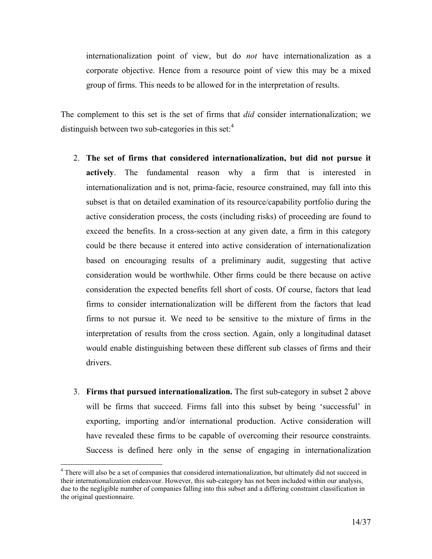internationalization point of view, but do not have internationalization as a corporate objective. Hence from a resource point of view this may be a mixed group of firms. This needs to be allowed for in the interpretation of results.

The complement to this set is the set of firms that *did* consider internationalization; we distinguish between two sub-categories in this set:<sup>4</sup>

- 2. The set of firms that considered internationalization, but did not pursue it actively. The fundamental reason why a firm that is interested in internationalization and is not, prima-facie, resource constrained, may fall into this subset is that on detailed examination of its resource/capability portfolio during the active consideration process, the costs (including risks) of proceeding are found to exceed the benefits. In a cross-section at any given date, a firm in this category could be there because it entered into active consideration of internationalization based on encouraging results of a preliminary audit, suggesting that active consideration would be worthwhile. Other firms could be there because on active consideration the expected benefits fell short of costs. Of course, factors that lead firms to consider internationalization will be different from the factors that lead firms to not pursue it. We need to be sensitive to the mixture of firms in the interpretation of results from the cross section. Again, only a longitudinal dataset would enable distinguishing between these different sub classes of firms and their drivers.
- 3. Firms that pursued internationalization. The first sub-category in subset 2 above will be firms that succeed. Firms fall into this subset by being 'successful' in exporting, importing and/or international production. Active consideration will have revealed these firms to be capable of overcoming their resource constraints. Success is defined here only in the sense of engaging in internationalization

<u>.</u>

<sup>&</sup>lt;sup>4</sup> There will also be a set of companies that considered internationalization, but ultimately did not succeed in their internationalization endeavour. However, this sub-category has not been included within our analysis, due to the negligible number of companies falling into this subset and a differing constraint classification in the original questionnaire.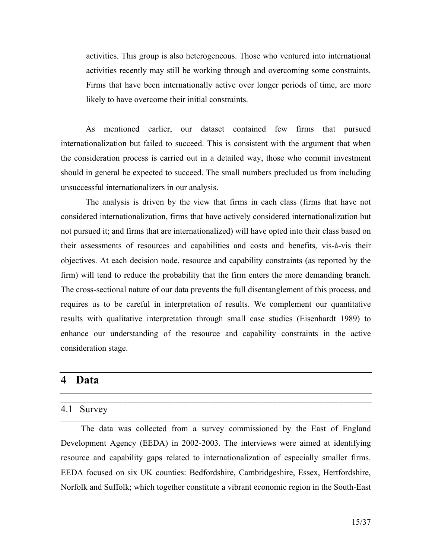activities. This group is also heterogeneous. Those who ventured into international activities recently may still be working through and overcoming some constraints. Firms that have been internationally active over longer periods of time, are more likely to have overcome their initial constraints.

As mentioned earlier, our dataset contained few firms that pursued internationalization but failed to succeed. This is consistent with the argument that when the consideration process is carried out in a detailed way, those who commit investment should in general be expected to succeed. The small numbers precluded us from including unsuccessful internationalizers in our analysis.

The analysis is driven by the view that firms in each class (firms that have not considered internationalization, firms that have actively considered internationalization but not pursued it; and firms that are internationalized) will have opted into their class based on their assessments of resources and capabilities and costs and benefits, vis-à-vis their objectives. At each decision node, resource and capability constraints (as reported by the firm) will tend to reduce the probability that the firm enters the more demanding branch. The cross-sectional nature of our data prevents the full disentanglement of this process, and requires us to be careful in interpretation of results. We complement our quantitative results with qualitative interpretation through small case studies (Eisenhardt 1989) to enhance our understanding of the resource and capability constraints in the active consideration stage.

#### 4 Data

#### 4.1 Survey

The data was collected from a survey commissioned by the East of England Development Agency (EEDA) in 2002-2003. The interviews were aimed at identifying resource and capability gaps related to internationalization of especially smaller firms. EEDA focused on six UK counties: Bedfordshire, Cambridgeshire, Essex, Hertfordshire, Norfolk and Suffolk; which together constitute a vibrant economic region in the South-East

and the contract of the contract of the contract of the contract of the contract of the contract of the contract of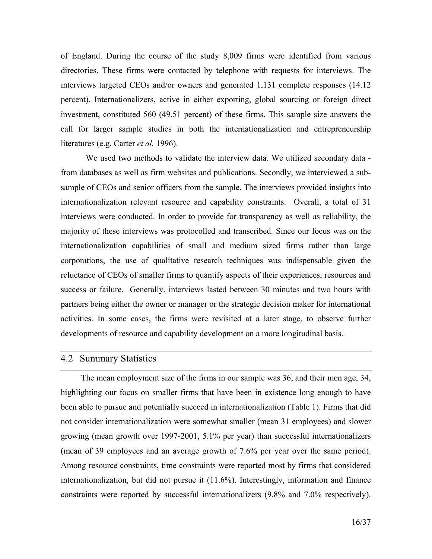of England. During the course of the study 8,009 firms were identified from various directories. These firms were contacted by telephone with requests for interviews. The interviews targeted CEOs and/or owners and generated 1,131 complete responses (14.12 percent). Internationalizers, active in either exporting, global sourcing or foreign direct investment, constituted 560 (49.51 percent) of these firms. This sample size answers the call for larger sample studies in both the internationalization and entrepreneurship literatures (e.g. Carter et al. 1996).

We used two methods to validate the interview data. We utilized secondary data from databases as well as firm websites and publications. Secondly, we interviewed a subsample of CEOs and senior officers from the sample. The interviews provided insights into internationalization relevant resource and capability constraints. Overall, a total of 31 interviews were conducted. In order to provide for transparency as well as reliability, the majority of these interviews was protocolled and transcribed. Since our focus was on the internationalization capabilities of small and medium sized firms rather than large corporations, the use of qualitative research techniques was indispensable given the reluctance of CEOs of smaller firms to quantify aspects of their experiences, resources and success or failure. Generally, interviews lasted between 30 minutes and two hours with partners being either the owner or manager or the strategic decision maker for international activities. In some cases, the firms were revisited at a later stage, to observe further developments of resource and capability development on a more longitudinal basis.

## 4.2 Summary Statistics

The mean employment size of the firms in our sample was 36, and their men age, 34, highlighting our focus on smaller firms that have been in existence long enough to have been able to pursue and potentially succeed in internationalization (Table 1). Firms that did not consider internationalization were somewhat smaller (mean 31 employees) and slower growing (mean growth over 1997-2001, 5.1% per year) than successful internationalizers (mean of 39 employees and an average growth of 7.6% per year over the same period). Among resource constraints, time constraints were reported most by firms that considered internationalization, but did not pursue it (11.6%). Interestingly, information and finance constraints were reported by successful internationalizers (9.8% and 7.0% respectively).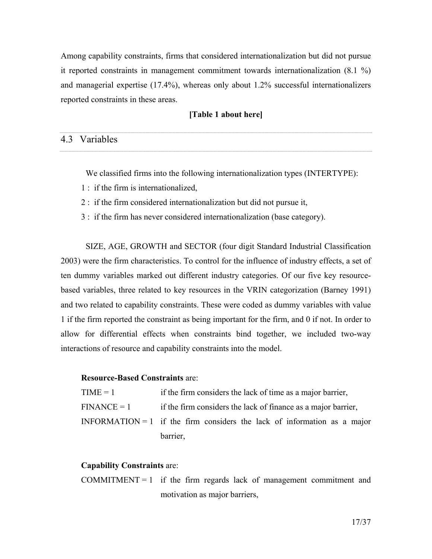Among capability constraints, firms that considered internationalization but did not pursue it reported constraints in management commitment towards internationalization (8.1 %) and managerial expertise (17.4%), whereas only about 1.2% successful internationalizers reported constraints in these areas.

#### [Table 1 about here]

#### 4.3 Variables

We classified firms into the following internationalization types (INTERTYPE):

- 1 : if the firm is internationalized,
- 2 : if the firm considered internationalization but did not pursue it,
- 3 : if the firm has never considered internationalization (base category).

SIZE, AGE, GROWTH and SECTOR (four digit Standard Industrial Classification 2003) were the firm characteristics. To control for the influence of industry effects, a set of ten dummy variables marked out different industry categories. Of our five key resourcebased variables, three related to key resources in the VRIN categorization (Barney 1991) and two related to capability constraints. These were coded as dummy variables with value 1 if the firm reported the constraint as being important for the firm, and 0 if not. In order to allow for differential effects when constraints bind together, we included two-way interactions of resource and capability constraints into the model.

#### Resource-Based Constraints are:

| $TIME = 1$ | if the firm considers the lack of time as a major barrier,                         |  |  |  |  |  |  |  |  |
|------------|------------------------------------------------------------------------------------|--|--|--|--|--|--|--|--|
|            | $\text{FINANCE} = 1$ if the firm considers the lack of finance as a major barrier, |  |  |  |  |  |  |  |  |
|            | INFORMATION = 1 if the firm considers the lack of information as a major           |  |  |  |  |  |  |  |  |
|            | barrier,                                                                           |  |  |  |  |  |  |  |  |

#### Capability Constraints are:

COMMITMENT = 1 if the firm regards lack of management commitment and motivation as major barriers,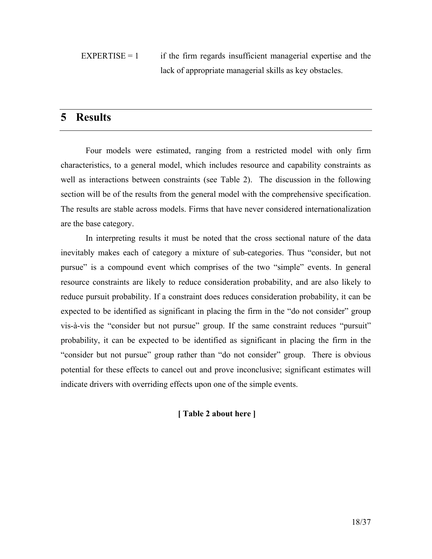$EXPERTISE = 1$  if the firm regards insufficient managerial expertise and the lack of appropriate managerial skills as key obstacles.

# 5 Results

Four models were estimated, ranging from a restricted model with only firm characteristics, to a general model, which includes resource and capability constraints as well as interactions between constraints (see Table 2). The discussion in the following section will be of the results from the general model with the comprehensive specification. The results are stable across models. Firms that have never considered internationalization are the base category.

In interpreting results it must be noted that the cross sectional nature of the data inevitably makes each of category a mixture of sub-categories. Thus "consider, but not pursue" is a compound event which comprises of the two "simple" events. In general resource constraints are likely to reduce consideration probability, and are also likely to reduce pursuit probability. If a constraint does reduces consideration probability, it can be expected to be identified as significant in placing the firm in the "do not consider" group vis-à-vis the "consider but not pursue" group. If the same constraint reduces "pursuit" probability, it can be expected to be identified as significant in placing the firm in the "consider but not pursue" group rather than "do not consider" group. There is obvious potential for these effects to cancel out and prove inconclusive; significant estimates will indicate drivers with overriding effects upon one of the simple events.

#### [ Table 2 about here ]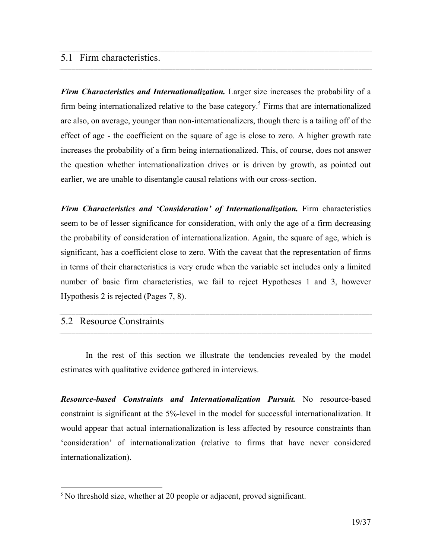### 5.1 Firm characteristics.

Firm Characteristics and Internationalization. Larger size increases the probability of a firm being internationalized relative to the base category.<sup>5</sup> Firms that are internationalized are also, on average, younger than non-internationalizers, though there is a tailing off of the effect of age - the coefficient on the square of age is close to zero. A higher growth rate increases the probability of a firm being internationalized. This, of course, does not answer the question whether internationalization drives or is driven by growth, as pointed out earlier, we are unable to disentangle causal relations with our cross-section.

Firm Characteristics and 'Consideration' of Internationalization. Firm characteristics seem to be of lesser significance for consideration, with only the age of a firm decreasing the probability of consideration of internationalization. Again, the square of age, which is significant, has a coefficient close to zero. With the caveat that the representation of firms in terms of their characteristics is very crude when the variable set includes only a limited number of basic firm characteristics, we fail to reject Hypotheses 1 and 3, however Hypothesis 2 is rejected (Pages 7, 8).

#### 5.2 Resource Constraints

<u>.</u>

In the rest of this section we illustrate the tendencies revealed by the model estimates with qualitative evidence gathered in interviews.

Resource-based Constraints and Internationalization Pursuit. No resource-based constraint is significant at the 5%-level in the model for successful internationalization. It would appear that actual internationalization is less affected by resource constraints than 'consideration' of internationalization (relative to firms that have never considered internationalization).

<sup>&</sup>lt;sup>5</sup> No threshold size, whether at 20 people or adjacent, proved significant.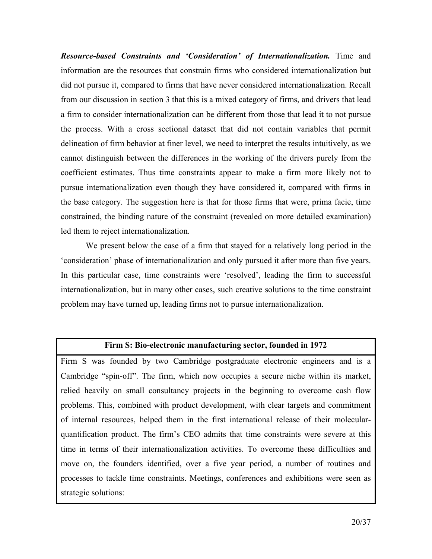Resource-based Constraints and 'Consideration' of Internationalization. Time and information are the resources that constrain firms who considered internationalization but did not pursue it, compared to firms that have never considered internationalization. Recall from our discussion in section 3 that this is a mixed category of firms, and drivers that lead a firm to consider internationalization can be different from those that lead it to not pursue the process. With a cross sectional dataset that did not contain variables that permit delineation of firm behavior at finer level, we need to interpret the results intuitively, as we cannot distinguish between the differences in the working of the drivers purely from the coefficient estimates. Thus time constraints appear to make a firm more likely not to pursue internationalization even though they have considered it, compared with firms in the base category. The suggestion here is that for those firms that were, prima facie, time constrained, the binding nature of the constraint (revealed on more detailed examination) led them to reject internationalization.

We present below the case of a firm that stayed for a relatively long period in the 'consideration' phase of internationalization and only pursued it after more than five years. In this particular case, time constraints were 'resolved', leading the firm to successful internationalization, but in many other cases, such creative solutions to the time constraint problem may have turned up, leading firms not to pursue internationalization.

#### Firm S: Bio-electronic manufacturing sector, founded in 1972

Firm S was founded by two Cambridge postgraduate electronic engineers and is a Cambridge "spin-off". The firm, which now occupies a secure niche within its market, relied heavily on small consultancy projects in the beginning to overcome cash flow problems. This, combined with product development, with clear targets and commitment of internal resources, helped them in the first international release of their molecularquantification product. The firm's CEO admits that time constraints were severe at this time in terms of their internationalization activities. To overcome these difficulties and move on, the founders identified, over a five year period, a number of routines and processes to tackle time constraints. Meetings, conferences and exhibitions were seen as strategic solutions: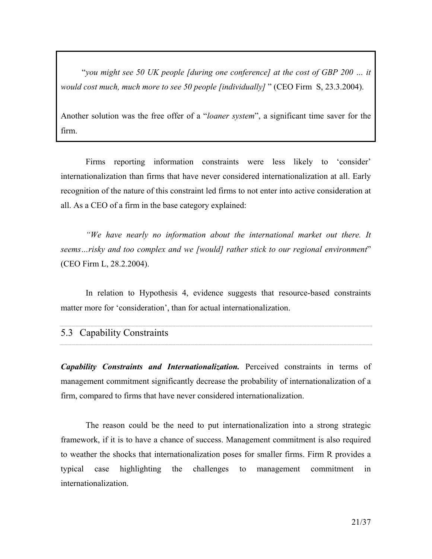"you might see 50 UK people [during one conference] at the cost of GBP 200 … it would cost much, much more to see 50 people [individually] " (CEO Firm S, 23.3.2004).

Another solution was the free offer of a "loaner system", a significant time saver for the firm.

Firms reporting information constraints were less likely to 'consider' internationalization than firms that have never considered internationalization at all. Early recognition of the nature of this constraint led firms to not enter into active consideration at all. As a CEO of a firm in the base category explained:

"We have nearly no information about the international market out there. It seems...risky and too complex and we [would] rather stick to our regional environment" (CEO Firm L, 28.2.2004).

In relation to Hypothesis 4, evidence suggests that resource-based constraints matter more for 'consideration', than for actual internationalization.

| 5.3 Capability Constraints |
|----------------------------|
|                            |

Capability Constraints and Internationalization. Perceived constraints in terms of management commitment significantly decrease the probability of internationalization of a firm, compared to firms that have never considered internationalization.

The reason could be the need to put internationalization into a strong strategic framework, if it is to have a chance of success. Management commitment is also required to weather the shocks that internationalization poses for smaller firms. Firm R provides a typical case highlighting the challenges to management commitment in internationalization.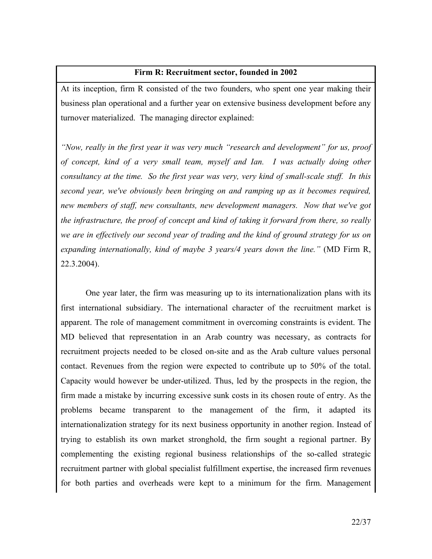#### Firm R: Recruitment sector, founded in 2002

At its inception, firm R consisted of the two founders, who spent one year making their business plan operational and a further year on extensive business development before any turnover materialized. The managing director explained:

"Now, really in the first year it was very much "research and development" for us, proof of concept, kind of a very small team, myself and Ian. I was actually doing other consultancy at the time. So the first year was very, very kind of small-scale stuff. In this second year, we've obviously been bringing on and ramping up as it becomes required, new members of staff, new consultants, new development managers. Now that we've got the infrastructure, the proof of concept and kind of taking it forward from there, so really we are in effectively our second year of trading and the kind of ground strategy for us on expanding internationally, kind of maybe 3 years/4 years down the line." (MD Firm R, 22.3.2004).

One year later, the firm was measuring up to its internationalization plans with its first international subsidiary. The international character of the recruitment market is apparent. The role of management commitment in overcoming constraints is evident. The MD believed that representation in an Arab country was necessary, as contracts for recruitment projects needed to be closed on-site and as the Arab culture values personal contact. Revenues from the region were expected to contribute up to 50% of the total. Capacity would however be under-utilized. Thus, led by the prospects in the region, the firm made a mistake by incurring excessive sunk costs in its chosen route of entry. As the problems became transparent to the management of the firm, it adapted its internationalization strategy for its next business opportunity in another region. Instead of trying to establish its own market stronghold, the firm sought a regional partner. By complementing the existing regional business relationships of the so-called strategic recruitment partner with global specialist fulfillment expertise, the increased firm revenues for both parties and overheads were kept to a minimum for the firm. Management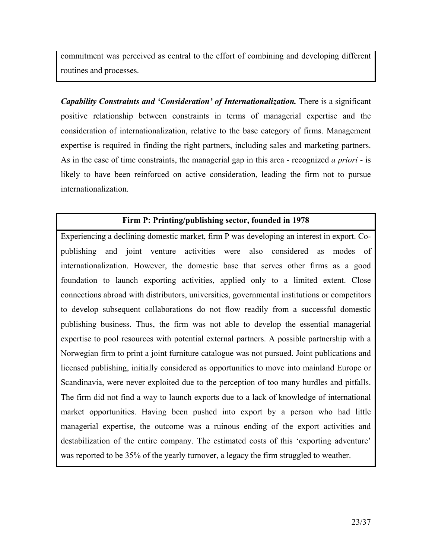commitment was perceived as central to the effort of combining and developing different routines and processes.

Capability Constraints and 'Consideration' of Internationalization. There is a significant positive relationship between constraints in terms of managerial expertise and the consideration of internationalization, relative to the base category of firms. Management expertise is required in finding the right partners, including sales and marketing partners. As in the case of time constraints, the managerial gap in this area - recognized *a priori* - is likely to have been reinforced on active consideration, leading the firm not to pursue internationalization.

#### Firm P: Printing/publishing sector, founded in 1978

Experiencing a declining domestic market, firm P was developing an interest in export. Copublishing and joint venture activities were also considered as modes of internationalization. However, the domestic base that serves other firms as a good foundation to launch exporting activities, applied only to a limited extent. Close connections abroad with distributors, universities, governmental institutions or competitors to develop subsequent collaborations do not flow readily from a successful domestic publishing business. Thus, the firm was not able to develop the essential managerial expertise to pool resources with potential external partners. A possible partnership with a Norwegian firm to print a joint furniture catalogue was not pursued. Joint publications and licensed publishing, initially considered as opportunities to move into mainland Europe or Scandinavia, were never exploited due to the perception of too many hurdles and pitfalls. The firm did not find a way to launch exports due to a lack of knowledge of international market opportunities. Having been pushed into export by a person who had little managerial expertise, the outcome was a ruinous ending of the export activities and destabilization of the entire company. The estimated costs of this 'exporting adventure' was reported to be 35% of the yearly turnover, a legacy the firm struggled to weather.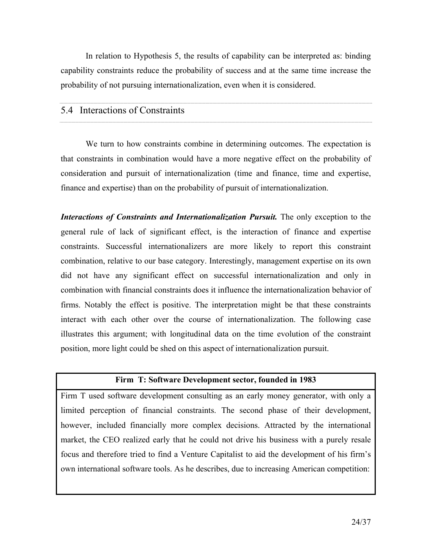In relation to Hypothesis 5, the results of capability can be interpreted as: binding capability constraints reduce the probability of success and at the same time increase the probability of not pursuing internationalization, even when it is considered.

## 5.4 Interactions of Constraints

We turn to how constraints combine in determining outcomes. The expectation is that constraints in combination would have a more negative effect on the probability of consideration and pursuit of internationalization (time and finance, time and expertise, finance and expertise) than on the probability of pursuit of internationalization.

Interactions of Constraints and Internationalization Pursuit. The only exception to the general rule of lack of significant effect, is the interaction of finance and expertise constraints. Successful internationalizers are more likely to report this constraint combination, relative to our base category. Interestingly, management expertise on its own did not have any significant effect on successful internationalization and only in combination with financial constraints does it influence the internationalization behavior of firms. Notably the effect is positive. The interpretation might be that these constraints interact with each other over the course of internationalization. The following case illustrates this argument; with longitudinal data on the time evolution of the constraint position, more light could be shed on this aspect of internationalization pursuit.

#### Firm T: Software Development sector, founded in 1983

Firm T used software development consulting as an early money generator, with only a limited perception of financial constraints. The second phase of their development, however, included financially more complex decisions. Attracted by the international market, the CEO realized early that he could not drive his business with a purely resale focus and therefore tried to find a Venture Capitalist to aid the development of his firm's own international software tools. As he describes, due to increasing American competition: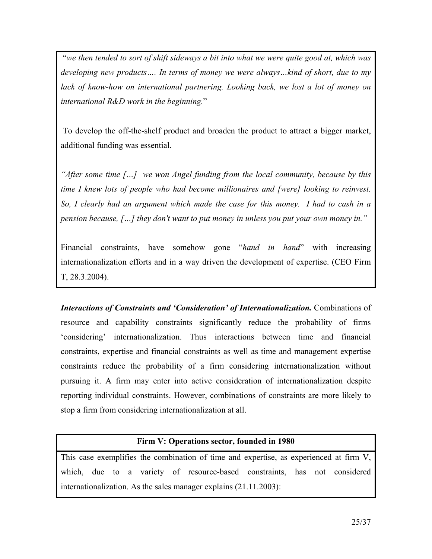"we then tended to sort of shift sideways a bit into what we were quite good at, which was developing new products…. In terms of money we were always…kind of short, due to my lack of know-how on international partnering. Looking back, we lost a lot of money on international R&D work in the beginning."

 To develop the off-the-shelf product and broaden the product to attract a bigger market, additional funding was essential.

"After some time […] we won Angel funding from the local community, because by this time I knew lots of people who had become millionaires and [were] looking to reinvest. So, I clearly had an argument which made the case for this money. I had to cash in a pension because, […] they don't want to put money in unless you put your own money in."

Financial constraints, have somehow gone "*hand in hand*" with increasing internationalization efforts and in a way driven the development of expertise. (CEO Firm T, 28.3.2004).

Interactions of Constraints and 'Consideration' of Internationalization. Combinations of resource and capability constraints significantly reduce the probability of firms 'considering' internationalization. Thus interactions between time and financial constraints, expertise and financial constraints as well as time and management expertise constraints reduce the probability of a firm considering internationalization without pursuing it. A firm may enter into active consideration of internationalization despite reporting individual constraints. However, combinations of constraints are more likely to stop a firm from considering internationalization at all.

#### Firm V: Operations sector, founded in 1980

This case exemplifies the combination of time and expertise, as experienced at firm V, which, due to a variety of resource-based constraints, has not considered internationalization. As the sales manager explains (21.11.2003):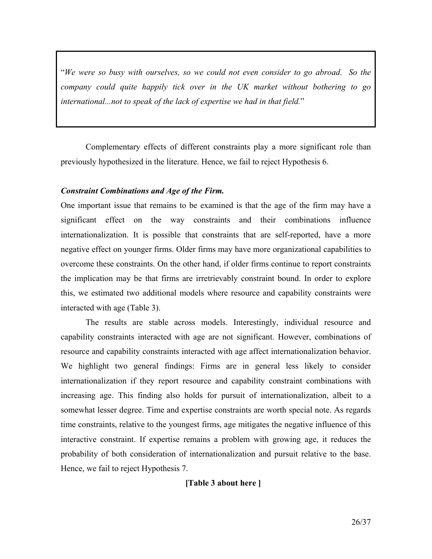"We were so busy with ourselves, so we could not even consider to go abroad. So the company could quite happily tick over in the UK market without bothering to go international...not to speak of the lack of expertise we had in that field."

Complementary effects of different constraints play a more significant role than previously hypothesized in the literature. Hence, we fail to reject Hypothesis 6.

#### Constraint Combinations and Age of the Firm.

One important issue that remains to be examined is that the age of the firm may have a significant effect on the way constraints and their combinations influence internationalization. It is possible that constraints that are self-reported, have a more negative effect on younger firms. Older firms may have more organizational capabilities to overcome these constraints. On the other hand, if older firms continue to report constraints the implication may be that firms are irretrievably constraint bound. In order to explore this, we estimated two additional models where resource and capability constraints were interacted with age (Table 3).

The results are stable across models. Interestingly, individual resource and capability constraints interacted with age are not significant. However, combinations of resource and capability constraints interacted with age affect internationalization behavior. We highlight two general findings: Firms are in general less likely to consider internationalization if they report resource and capability constraint combinations with increasing age. This finding also holds for pursuit of internationalization, albeit to a somewhat lesser degree. Time and expertise constraints are worth special note. As regards time constraints, relative to the youngest firms, age mitigates the negative influence of this interactive constraint. If expertise remains a problem with growing age, it reduces the probability of both consideration of internationalization and pursuit relative to the base. Hence, we fail to reject Hypothesis 7.

#### [Table 3 about here ]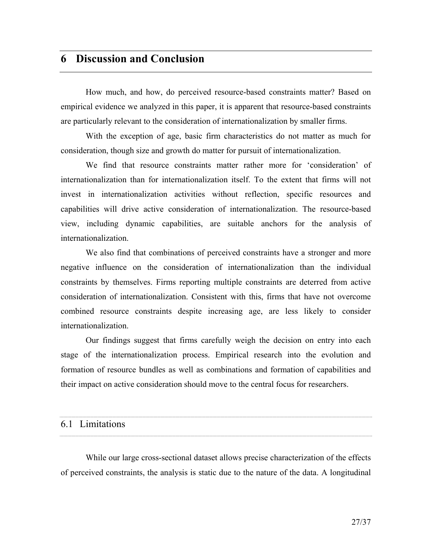# 6 Discussion and Conclusion

How much, and how, do perceived resource-based constraints matter? Based on empirical evidence we analyzed in this paper, it is apparent that resource-based constraints are particularly relevant to the consideration of internationalization by smaller firms.

With the exception of age, basic firm characteristics do not matter as much for consideration, though size and growth do matter for pursuit of internationalization.

We find that resource constraints matter rather more for 'consideration' of internationalization than for internationalization itself. To the extent that firms will not invest in internationalization activities without reflection, specific resources and capabilities will drive active consideration of internationalization. The resource-based view, including dynamic capabilities, are suitable anchors for the analysis of internationalization.

We also find that combinations of perceived constraints have a stronger and more negative influence on the consideration of internationalization than the individual constraints by themselves. Firms reporting multiple constraints are deterred from active consideration of internationalization. Consistent with this, firms that have not overcome combined resource constraints despite increasing age, are less likely to consider internationalization.

Our findings suggest that firms carefully weigh the decision on entry into each stage of the internationalization process. Empirical research into the evolution and formation of resource bundles as well as combinations and formation of capabilities and their impact on active consideration should move to the central focus for researchers.

| 6.1 Limitations |  |  |  |
|-----------------|--|--|--|

While our large cross-sectional dataset allows precise characterization of the effects of perceived constraints, the analysis is static due to the nature of the data. A longitudinal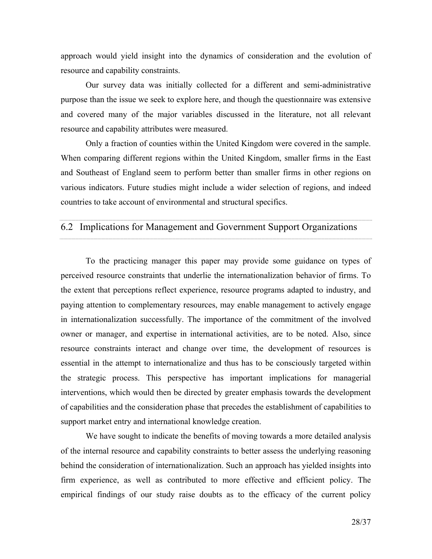approach would yield insight into the dynamics of consideration and the evolution of resource and capability constraints.

Our survey data was initially collected for a different and semi-administrative purpose than the issue we seek to explore here, and though the questionnaire was extensive and covered many of the major variables discussed in the literature, not all relevant resource and capability attributes were measured.

Only a fraction of counties within the United Kingdom were covered in the sample. When comparing different regions within the United Kingdom, smaller firms in the East and Southeast of England seem to perform better than smaller firms in other regions on various indicators. Future studies might include a wider selection of regions, and indeed countries to take account of environmental and structural specifics.

### 6.2 Implications for Management and Government Support Organizations

To the practicing manager this paper may provide some guidance on types of perceived resource constraints that underlie the internationalization behavior of firms. To the extent that perceptions reflect experience, resource programs adapted to industry, and paying attention to complementary resources, may enable management to actively engage in internationalization successfully. The importance of the commitment of the involved owner or manager, and expertise in international activities, are to be noted. Also, since resource constraints interact and change over time, the development of resources is essential in the attempt to internationalize and thus has to be consciously targeted within the strategic process. This perspective has important implications for managerial interventions, which would then be directed by greater emphasis towards the development of capabilities and the consideration phase that precedes the establishment of capabilities to support market entry and international knowledge creation.

We have sought to indicate the benefits of moving towards a more detailed analysis of the internal resource and capability constraints to better assess the underlying reasoning behind the consideration of internationalization. Such an approach has yielded insights into firm experience, as well as contributed to more effective and efficient policy. The empirical findings of our study raise doubts as to the efficacy of the current policy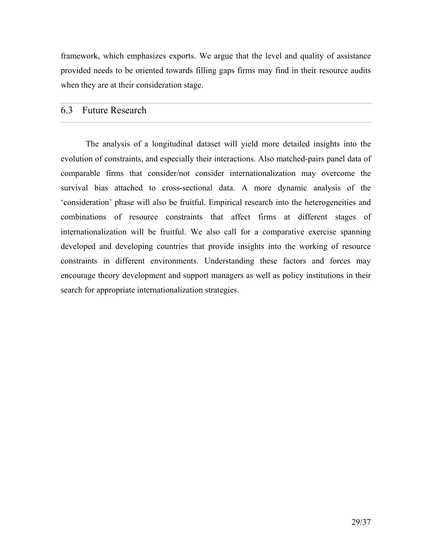framework, which emphasizes exports. We argue that the level and quality of assistance provided needs to be oriented towards filling gaps firms may find in their resource audits when they are at their consideration stage.

#### 6.3 Future Research

The analysis of a longitudinal dataset will yield more detailed insights into the evolution of constraints, and especially their interactions. Also matched-pairs panel data of comparable firms that consider/not consider internationalization may overcome the survival bias attached to cross-sectional data. A more dynamic analysis of the 'consideration' phase will also be fruitful. Empirical research into the heterogeneities and combinations of resource constraints that affect firms at different stages of internationalization will be fruitful. We also call for a comparative exercise spanning developed and developing countries that provide insights into the working of resource constraints in different environments. Understanding these factors and forces may encourage theory development and support managers as well as policy institutions in their search for appropriate internationalization strategies.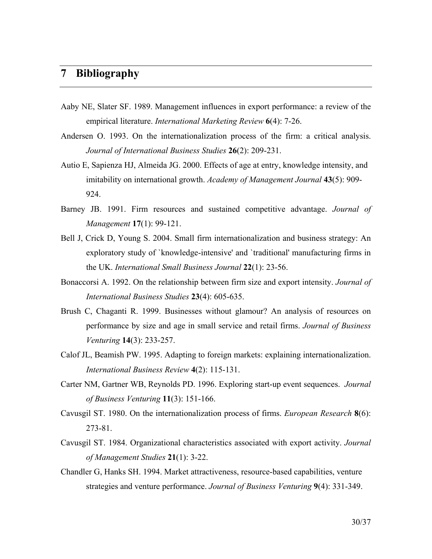## 7 Bibliography

- Aaby NE, Slater SF. 1989. Management influences in export performance: a review of the empirical literature. *International Marketing Review* 6(4): 7-26.
- Andersen O. 1993. On the internationalization process of the firm: a critical analysis. Journal of International Business Studies 26(2): 209-231.
- Autio E, Sapienza HJ, Almeida JG. 2000. Effects of age at entry, knowledge intensity, and imitability on international growth. Academy of Management Journal 43(5): 909-924.
- Barney JB. 1991. Firm resources and sustained competitive advantage. Journal of Management 17(1): 99-121.
- Bell J, Crick D, Young S. 2004. Small firm internationalization and business strategy: An exploratory study of `knowledge-intensive' and `traditional' manufacturing firms in the UK. International Small Business Journal 22(1): 23-56.
- Bonaccorsi A. 1992. On the relationship between firm size and export intensity. Journal of International Business Studies 23(4): 605-635.
- Brush C, Chaganti R. 1999. Businesses without glamour? An analysis of resources on performance by size and age in small service and retail firms. Journal of Business Venturing 14(3): 233-257.
- Calof JL, Beamish PW. 1995. Adapting to foreign markets: explaining internationalization. International Business Review 4(2): 115-131.
- Carter NM, Gartner WB, Reynolds PD. 1996. Exploring start-up event sequences. Journal of Business Venturing 11(3): 151-166.
- Cavusgil ST. 1980. On the internationalization process of firms. European Research 8(6): 273-81.
- Cavusgil ST. 1984. Organizational characteristics associated with export activity. Journal of Management Studies 21(1): 3-22.
- Chandler G, Hanks SH. 1994. Market attractiveness, resource-based capabilities, venture strategies and venture performance. Journal of Business Venturing 9(4): 331-349.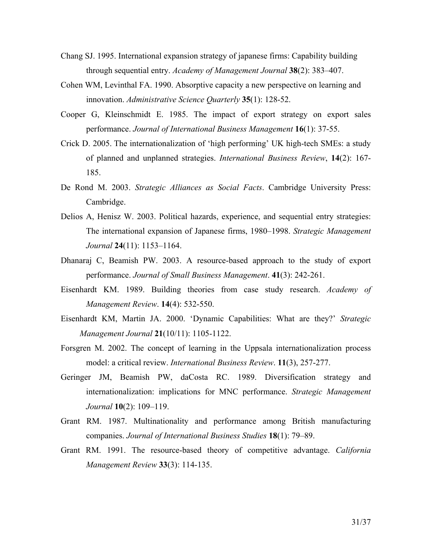- Chang SJ. 1995. International expansion strategy of japanese firms: Capability building through sequential entry. Academy of Management Journal 38(2): 383–407.
- Cohen WM, Levinthal FA. 1990. Absorptive capacity a new perspective on learning and innovation. Administrative Science Quarterly 35(1): 128-52.
- Cooper G, Kleinschmidt E. 1985. The impact of export strategy on export sales performance. Journal of International Business Management 16(1): 37-55.
- Crick D. 2005. The internationalization of 'high performing' UK high-tech SMEs: a study of planned and unplanned strategies. International Business Review, 14(2): 167- 185.
- De Rond M. 2003. Strategic Alliances as Social Facts. Cambridge University Press: Cambridge.
- Delios A, Henisz W. 2003. Political hazards, experience, and sequential entry strategies: The international expansion of Japanese firms, 1980–1998. Strategic Management Journal 24(11): 1153–1164.
- Dhanaraj C, Beamish PW. 2003. A resource-based approach to the study of export performance. Journal of Small Business Management. 41(3): 242-261.
- Eisenhardt KM. 1989. Building theories from case study research. Academy of Management Review. 14(4): 532-550.
- Eisenhardt KM, Martin JA. 2000. 'Dynamic Capabilities: What are they?' Strategic Management Journal 21(10/11): 1105-1122.
- Forsgren M. 2002. The concept of learning in the Uppsala internationalization process model: a critical review. International Business Review. 11(3), 257-277.
- Geringer JM, Beamish PW, daCosta RC. 1989. Diversification strategy and internationalization: implications for MNC performance. Strategic Management Journal 10(2): 109–119.
- Grant RM. 1987. Multinationality and performance among British manufacturing companies. Journal of International Business Studies 18(1): 79–89.
- Grant RM. 1991. The resource-based theory of competitive advantage. California Management Review 33(3): 114-135.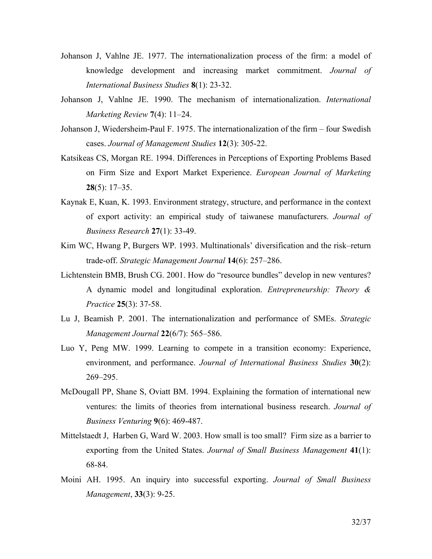- Johanson J, Vahlne JE. 1977. The internationalization process of the firm: a model of knowledge development and increasing market commitment. Journal of International Business Studies 8(1): 23-32.
- Johanson J, Vahlne JE. 1990. The mechanism of internationalization. International Marketing Review 7(4): 11–24.
- Johanson J, Wiedersheim-Paul F. 1975. The internationalization of the firm four Swedish cases. Journal of Management Studies 12(3): 305-22.
- Katsikeas CS, Morgan RE. 1994. Differences in Perceptions of Exporting Problems Based on Firm Size and Export Market Experience. European Journal of Marketing  $28(5): 17-35.$
- Kaynak E, Kuan, K. 1993. Environment strategy, structure, and performance in the context of export activity: an empirical study of taiwanese manufacturers. Journal of Business Research 27(1): 33-49.
- Kim WC, Hwang P, Burgers WP. 1993. Multinationals' diversification and the risk–return trade-off. Strategic Management Journal 14(6): 257–286.
- Lichtenstein BMB, Brush CG. 2001. How do "resource bundles" develop in new ventures? A dynamic model and longitudinal exploration. Entrepreneurship: Theory & Practice 25(3): 37-58.
- Lu J, Beamish P. 2001. The internationalization and performance of SMEs. Strategic Management Journal 22(6/7): 565–586.
- Luo Y, Peng MW. 1999. Learning to compete in a transition economy: Experience, environment, and performance. Journal of International Business Studies 30(2): 269–295.
- McDougall PP, Shane S, Oviatt BM. 1994. Explaining the formation of international new ventures: the limits of theories from international business research. Journal of Business Venturing 9(6): 469-487.
- Mittelstaedt J, Harben G, Ward W. 2003. How small is too small? Firm size as a barrier to exporting from the United States. Journal of Small Business Management 41(1): 68-84.
- Moini AH. 1995. An inquiry into successful exporting. Journal of Small Business Management, 33(3): 9-25.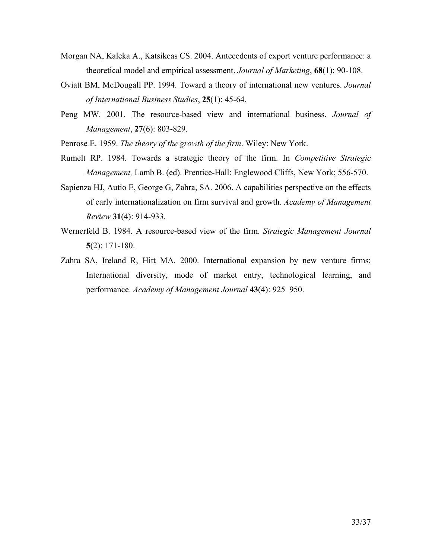- Morgan NA, Kaleka A., Katsikeas CS. 2004. Antecedents of export venture performance: a theoretical model and empirical assessment. Journal of Marketing, 68(1): 90-108.
- Oviatt BM, McDougall PP. 1994. Toward a theory of international new ventures. Journal of International Business Studies, 25(1): 45-64.
- Peng MW. 2001. The resource-based view and international business. Journal of Management, 27(6): 803-829.

Penrose E. 1959. The theory of the growth of the firm. Wiley: New York.

- Rumelt RP. 1984. Towards a strategic theory of the firm. In Competitive Strategic Management, Lamb B. (ed). Prentice-Hall: Englewood Cliffs, New York; 556-570.
- Sapienza HJ, Autio E, George G, Zahra, SA. 2006. A capabilities perspective on the effects of early internationalization on firm survival and growth. Academy of Management Review 31(4): 914-933.
- Wernerfeld B. 1984. A resource-based view of the firm. Strategic Management Journal 5(2): 171-180.
- Zahra SA, Ireland R, Hitt MA. 2000. International expansion by new venture firms: International diversity, mode of market entry, technological learning, and performance. Academy of Management Journal 43(4): 925–950.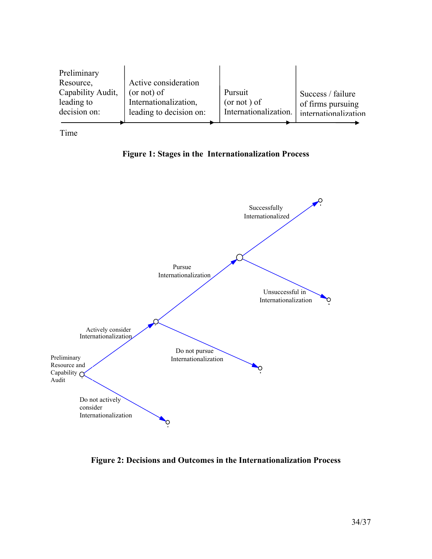| Preliminary<br>Resource,<br>Capability Audit,<br>leading to<br>decision on: | Active consideration<br>$($ or not $)$ of<br>Internationalization,<br>leading to decision on: | Pursuit<br>$($ or not $)$ of<br>Internationalization. | Success / failure<br>of firms pursuing<br>internationalization |
|-----------------------------------------------------------------------------|-----------------------------------------------------------------------------------------------|-------------------------------------------------------|----------------------------------------------------------------|
|                                                                             |                                                                                               |                                                       |                                                                |

Time





Figure 2: Decisions and Outcomes in the Internationalization Process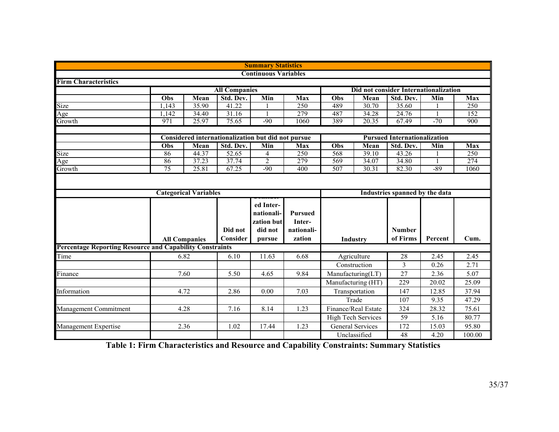|                                                                 |                                      |                              |                      | <b>Summary Statistics</b>                                  |                                                  |                                       |                           |                                     |                |            |
|-----------------------------------------------------------------|--------------------------------------|------------------------------|----------------------|------------------------------------------------------------|--------------------------------------------------|---------------------------------------|---------------------------|-------------------------------------|----------------|------------|
|                                                                 |                                      |                              |                      | <b>Continuous Variables</b>                                |                                                  |                                       |                           |                                     |                |            |
| <b>Firm Characteristics</b>                                     |                                      |                              |                      |                                                            |                                                  |                                       |                           |                                     |                |            |
|                                                                 |                                      |                              | <b>All Companies</b> |                                                            |                                                  | Did not consider Internationalization |                           |                                     |                |            |
|                                                                 | Obs                                  | Mean                         | Std. Dev.            | Min                                                        | Max                                              | Obs                                   | Mean                      | Std. Dev.                           | Min            | Max        |
| Size                                                            | 1,143                                | 35.90                        | 41.22                |                                                            | 250                                              | 489                                   | 30.70                     | 35.60                               |                | 250        |
| Age                                                             | 1,142                                | 34.40                        | 31.16                |                                                            | 279                                              | 487                                   | 34.28                     | 24.76                               |                | 152        |
| Growth                                                          | 971                                  | 25.97                        | 75.65                | $-90$                                                      | 1060                                             | 389                                   | 20.35                     | 67.49                               | $-70$          | 900        |
|                                                                 |                                      |                              |                      | Considered internationalization but did not pursue         |                                                  |                                       |                           | <b>Pursued Internationalization</b> |                |            |
|                                                                 | $\overline{\overline{\mathrm{Obs}}}$ | Mean                         | Std. Dev.            | Min                                                        | <b>Max</b>                                       | Obs                                   | Mean                      | Std. Dev.                           | Min            | <b>Max</b> |
| Size                                                            | 86                                   | 44.37                        | 52.65                | $\overline{4}$                                             | 250                                              | 568                                   | 39.10                     | 43.26                               | $\blacksquare$ | 250        |
| Age                                                             | 86                                   | 37.23                        | 37.74                | $\overline{2}$                                             | 279                                              | 569                                   | 34.07                     | 34.80                               | $\blacksquare$ | 274        |
| Growth                                                          | $\overline{75}$                      | 25.81                        | 67.25                | $-90$                                                      | 400                                              | 507                                   | 30.31                     | 82.30                               | $-89$          | 1060       |
|                                                                 |                                      |                              |                      |                                                            |                                                  |                                       |                           |                                     |                |            |
|                                                                 |                                      | <b>Categorical Variables</b> |                      |                                                            |                                                  |                                       |                           | Industries spanned by the data      |                |            |
|                                                                 | <b>All Companies</b>                 |                              | Did not<br>Consider  | ed Inter-<br>nationali-<br>zation but<br>did not<br>pursue | <b>Pursued</b><br>Inter-<br>nationali-<br>zation | <b>Industry</b>                       |                           | <b>Number</b><br>of Firms           | Percent        | Cum.       |
| <b>Percentage Reporting Resource and Capability Constraints</b> |                                      |                              |                      |                                                            |                                                  |                                       |                           |                                     |                |            |
| $\overline{T}$ ime                                              |                                      | 6.82                         | 6.10                 | 11.63                                                      | 6.68                                             | Agriculture                           |                           | 28                                  | 2.45           | 2.45       |
|                                                                 |                                      |                              |                      |                                                            |                                                  |                                       | Construction              | 3                                   | 0.26           | 2.71       |
| Finance                                                         |                                      | 7.60                         | 5.50                 | 4.65                                                       | 9.84                                             | Manufacturing(LT)                     |                           | 27                                  | 2.36           | 5.07       |
|                                                                 |                                      |                              |                      |                                                            |                                                  | Manufacturing (HT)                    |                           | 229                                 | 20.02          | 25.09      |
| Information                                                     | 4.72                                 |                              | 2.86                 | 0.00                                                       | 7.03                                             | Transportation                        |                           | 147                                 | 12.85          | 37.94      |
|                                                                 |                                      |                              |                      |                                                            |                                                  |                                       | Trade                     | 107                                 | 9.35           | 47.29      |
| Management Commitment                                           | 4.28                                 |                              | 7.16                 | 8.14                                                       | 1.23                                             |                                       | Finance/Real Estate       | 324                                 | 28.32          | 75.61      |
|                                                                 |                                      |                              |                      |                                                            |                                                  |                                       | <b>High Tech Services</b> | 59                                  | 5.16           | 80.77      |
| Management Expertise                                            | 2.36                                 |                              | 1.02                 | 17.44                                                      | 1.23                                             |                                       | <b>General Services</b>   | 172                                 | 15.03          | 95.80      |
|                                                                 |                                      |                              |                      |                                                            |                                                  |                                       | Unclassified              | 48                                  | 4.20           | 100.00     |

Table 1: Firm Characteristics and Resource and Capability Constraints: Summary Statistics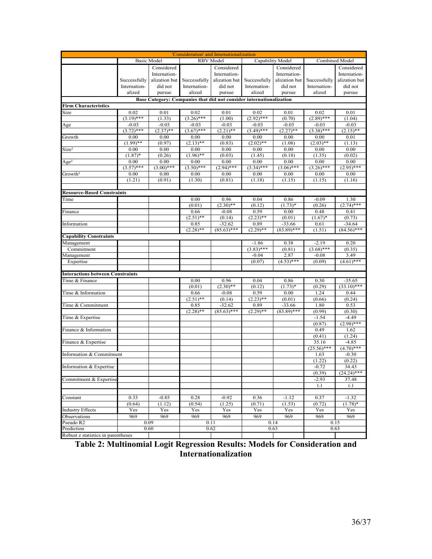| 'Consideration' and Internationalization                                                           |              |                    |                     |                  |              |                  |                              |                        |  |  |  |
|----------------------------------------------------------------------------------------------------|--------------|--------------------|---------------------|------------------|--------------|------------------|------------------------------|------------------------|--|--|--|
|                                                                                                    |              | <b>Basic Model</b> |                     | <b>RBV</b> Model |              | Capability Model | Combined Model               |                        |  |  |  |
|                                                                                                    |              | Considered         |                     | Considered       |              | Considered       | Considered                   |                        |  |  |  |
|                                                                                                    |              | Internation-       |                     | Internation-     |              | Internation-     |                              | Internation-           |  |  |  |
|                                                                                                    | Successfully | alization but      | Successfully        | alization but    | Successfully | alization but    | Successfully                 | alization but          |  |  |  |
|                                                                                                    | Internation- | did not            | Internation-        | did not          | Internation- | did not          | Internation-                 | did not                |  |  |  |
|                                                                                                    | alized       | pursue             | alized              | pursue           | alized       | pursue           | alized                       | pursue                 |  |  |  |
|                                                                                                    |              |                    |                     |                  |              |                  |                              |                        |  |  |  |
| Base Category: Companies that did not consider internationalization<br><b>Firm Characteristics</b> |              |                    |                     |                  |              |                  |                              |                        |  |  |  |
| Size                                                                                               | 0.02         | 0.01               | 0.02                | 0.01             | 0.02         | 0.01             | 0.02                         | 0.01                   |  |  |  |
|                                                                                                    | $(3.19)$ *** | (1.33)             | $(3.26)$ ***        | (1.00)           | $(2.92)$ *** | (0.70)           | $(2.89)$ ***                 | (1.04)                 |  |  |  |
| Age                                                                                                | $-0.03$      | $-0.03$            | $-0.03$             | $-0.03$          | $-0.03$      | $-0.03$          | $-0.03$                      | $-0.03$                |  |  |  |
|                                                                                                    | $(3.72)$ *** | $(2.37)$ **        | $\sqrt{(3.67)}$ *** | $(2.21)$ **      | $(3.49)$ *** | $(2.27)$ **      | $(3.38)$ ***                 | $(2.15)$ **            |  |  |  |
| Growth                                                                                             | 0.00         | 0.00               | 0.00                | 0.00             | 0.00         | 0.00             | 0.00                         | 0.01                   |  |  |  |
|                                                                                                    | $(1.99)$ **  | (0.97)             | $(2.13)$ **         | (0.83)           | $(2.02)$ **  | (1.08)           | $(2.03)$ **                  | (1.13)                 |  |  |  |
| Size <sup>2</sup>                                                                                  | 0.00         | 0.00               | 0.00                | 0.00             | 0.00         | 0.00             | 0.00                         | 0.00                   |  |  |  |
|                                                                                                    | $(1.87)$ *   | (0.26)             | $(1.96)$ **         | (0.03)           | (1.45)       | (0.18)           | (1.35)                       | (0.02)                 |  |  |  |
| Age <sup>2</sup>                                                                                   | 0.00         | 0.00               | 0.00                | 0.00             | 0.00         | 0.00             | 0.00                         | 0.00                   |  |  |  |
|                                                                                                    | $(3.57)$ *** | $(3.00)$ ***       | $(3.50)$ ***        | $(2.94)$ ***     | $(3.34)$ *** | $(3.06)$ ***     | $(3.26)$ ***                 | $(2.95)$ ***           |  |  |  |
| Growth <sup>2</sup>                                                                                | 0.00         | 0.00               | 0.00                | 0.00             | 0.00         | 0.00             | 0.00                         | 0.00                   |  |  |  |
|                                                                                                    | (1.21)       | (0.91)             | (1.30)              | (0.81)           | (1.18)       | (1.15)           | (1.15)                       | (1.16)                 |  |  |  |
|                                                                                                    |              |                    |                     |                  |              |                  |                              |                        |  |  |  |
| <b>Resource-Based Constraints</b>                                                                  |              |                    |                     |                  |              |                  |                              |                        |  |  |  |
| Time                                                                                               |              |                    | 0.00                | 0.96             | 0.04         | 0.86             | $-0.09$                      | 1.30                   |  |  |  |
|                                                                                                    |              |                    | (0.01)              | $(2.30)$ **      | (0.12)       | $(1.73)*$        | (0.26)                       | $(2.74)$ ***           |  |  |  |
| Finance                                                                                            |              |                    | 0.66                | $-0.08$          | 0.59         | 0.00             | 0.48                         | 0.41                   |  |  |  |
|                                                                                                    |              |                    | $(2.51)$ **         | (0.14)           | $(2.23)$ **  | (0.01)           | $(1.67)^*$                   | (0.73)                 |  |  |  |
| Information                                                                                        |              |                    | 0.85                | $-32.62$         | 0.89         | $-33.66$         | 0.61                         | $-34.64$               |  |  |  |
|                                                                                                    |              |                    | $(2.28)$ **         | $(85.63)$ ***    | $(2.29)$ **  | $(83.89)$ ***    | (1.51)                       | $(84.56)$ ***          |  |  |  |
| <b>Capability Constraints</b>                                                                      |              |                    |                     |                  |              |                  |                              |                        |  |  |  |
| Management                                                                                         |              |                    |                     |                  | $-1.86$      | 0.38             | $-2.19$                      | 0.20                   |  |  |  |
| Commitment                                                                                         |              |                    |                     |                  | $(3.83)$ *** | (0.81)           | $(3.68)$ ***                 | (0.35)                 |  |  |  |
| Management                                                                                         |              |                    |                     |                  | $-0.04$      | 2.87             | $-0.08$                      | 3.49                   |  |  |  |
| Expertise                                                                                          |              |                    |                     |                  | (0.07)       | $(4.53)$ ***     | (0.09)                       | $(4.61)$ ***           |  |  |  |
|                                                                                                    |              |                    |                     |                  |              |                  |                              |                        |  |  |  |
| <b>Interactions between Constraints</b>                                                            |              |                    |                     |                  |              |                  |                              |                        |  |  |  |
| Time & Finance                                                                                     |              |                    | 0.00                | 0.96             | 0.04         | 0.86             | 0.30                         | $-35.65$               |  |  |  |
|                                                                                                    |              |                    | (0.01)              | $(2.30)$ **      | (0.12)       | $(1.73)*$        | (0.29)                       | $(33.10)$ ***          |  |  |  |
| Time & Information                                                                                 |              |                    | 0.66                | $-0.08$          | 0.59         | 0.00             | 1.24                         | 0.44                   |  |  |  |
|                                                                                                    |              |                    | $(2.51)$ **         | (0.14)           | $(2.23)$ **  | (0.01)           | (0.66)                       | (0.24)                 |  |  |  |
| Time & Commitment                                                                                  |              |                    | 0.85                | $-32.62$         | 0.89         | $-33.66$         | 1.80                         | 0.53                   |  |  |  |
|                                                                                                    |              |                    | $(2.28)$ **         | $(85.63)$ ***    | $(2.29)$ **  | $(83.89)$ ***    | (0.99)                       | (0.30)                 |  |  |  |
| Time & Expertise                                                                                   |              |                    |                     |                  |              |                  | $-1.54$                      | $-4.49$                |  |  |  |
|                                                                                                    |              |                    |                     |                  |              |                  | (0.87)                       | $(2.98)$ ***           |  |  |  |
| Finance & Information                                                                              |              |                    |                     |                  |              |                  | 0.49                         | 1.62                   |  |  |  |
|                                                                                                    |              |                    |                     |                  |              |                  | (0.41)                       | (1.24)                 |  |  |  |
| Finance & Expertise                                                                                |              |                    |                     |                  |              |                  | 35.16                        | $-4.85$                |  |  |  |
|                                                                                                    |              |                    |                     |                  |              |                  | $(25.56)$ ***                | $(4.70)$ ***           |  |  |  |
| Information & Commitment                                                                           |              |                    |                     |                  |              |                  | 1.63                         | $-0.30$                |  |  |  |
|                                                                                                    |              |                    |                     |                  |              |                  | (1.22)                       | (0.22)                 |  |  |  |
| Information & Expertise                                                                            |              |                    |                     |                  |              |                  | $-0.72$                      | 34.43<br>$(24.24)$ *** |  |  |  |
| Commitment & Expertise                                                                             |              |                    |                     |                  |              |                  | (0.39)                       | 37.48                  |  |  |  |
|                                                                                                    |              |                    |                     |                  |              |                  | $-2.93$<br>$\left( .\right)$ | $\left( .\right)$      |  |  |  |
|                                                                                                    |              |                    |                     |                  |              |                  |                              |                        |  |  |  |
| Constant                                                                                           | 0.33         | $-0.85$            | 0.28                | $-0.92$          | 0.36         | $-1.12$          | 0.37                         | $-1.32$                |  |  |  |
|                                                                                                    | (0.64)       | (1.12)             | (0.54)              | (1.25)           | (0.71)       | (1.53)           | (0.72)                       | $(1.78)$ *             |  |  |  |
| <b>Industry Effects</b>                                                                            | Yes          | Yes                | Yes                 | Yes              | Yes          | Yes              | Yes                          | Yes                    |  |  |  |
| Observations                                                                                       | 969          | 969                | 969                 | 969              | 969          | 969              | 969                          | 969                    |  |  |  |
| Pseudo R <sub>2</sub>                                                                              |              | 0.09               | 0.11                |                  |              | 0.14             |                              | 0.15                   |  |  |  |
| Prediction                                                                                         |              | 0.60               | 0.62                |                  | 0.63         |                  |                              | 0.63                   |  |  |  |
| Robust z statistics in parentheses                                                                 |              |                    |                     |                  |              |                  |                              |                        |  |  |  |
|                                                                                                    |              |                    |                     |                  |              |                  |                              |                        |  |  |  |

Table 2: Multinomial Logit Regression Results: Models for Consideration and Internationalization